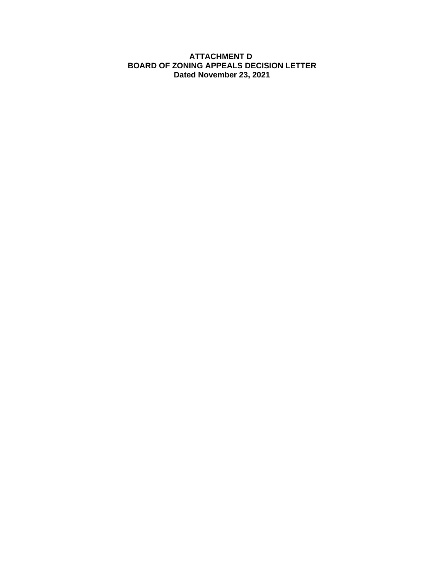#### **ATTACHMENT D BOARD OF ZONING APPEALS DECISION LETTER Dated November 23, 2021**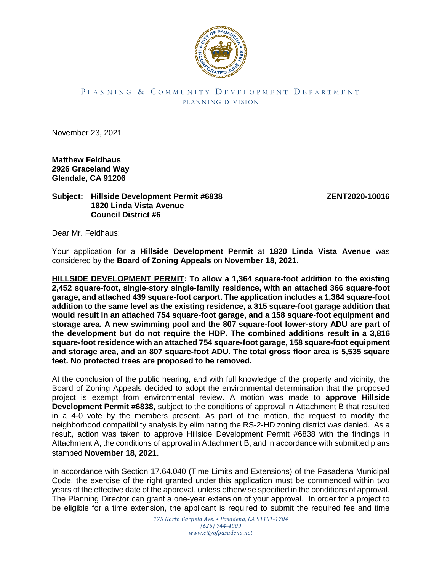

## PLANNING & COMMUNITY DEVELOPMENT DEPARTMENT PLANNING DIVISION

November 23, 2021

**Matthew Feldhaus 2926 Graceland Way Glendale, CA 91206**

## **Subject: Hillside Development Permit #6838 ZENT2020-10016 1820 Linda Vista Avenue Council District #6**

Dear Mr. Feldhaus:

Your application for a **Hillside Development Permit** at **1820 Linda Vista Avenue** was considered by the **Board of Zoning Appeals** on **November 18, 2021.**

**HILLSIDE DEVELOPMENT PERMIT: To allow a 1,364 square-foot addition to the existing 2,452 square-foot, single-story single-family residence, with an attached 366 square-foot garage, and attached 439 square-foot carport. The application includes a 1,364 square-foot addition to the same level as the existing residence, a 315 square-foot garage addition that would result in an attached 754 square-foot garage, and a 158 square-foot equipment and storage area. A new swimming pool and the 807 square-foot lower-story ADU are part of the development but do not require the HDP. The combined additions result in a 3,816 square-foot residence with an attached 754 square-foot garage, 158 square-foot equipment and storage area, and an 807 square-foot ADU. The total gross floor area is 5,535 square feet. No protected trees are proposed to be removed.** 

At the conclusion of the public hearing, and with full knowledge of the property and vicinity, the Board of Zoning Appeals decided to adopt the environmental determination that the proposed project is exempt from environmental review. A motion was made to **approve Hillside Development Permit #6838,** subject to the conditions of approval in Attachment B that resulted in a 4-0 vote by the members present. As part of the motion, the request to modify the neighborhood compatibility analysis by eliminating the RS-2-HD zoning district was denied. As a result, action was taken to approve Hillside Development Permit #6838 with the findings in Attachment A, the conditions of approval in Attachment B, and in accordance with submitted plans stamped **November 18, 2021**.

In accordance with Section 17.64.040 (Time Limits and Extensions) of the Pasadena Municipal Code, the exercise of the right granted under this application must be commenced within two years of the effective date of the approval, unless otherwise specified in the conditions of approval. The Planning Director can grant a one-year extension of your approval. In order for a project to be eligible for a time extension, the applicant is required to submit the required fee and time

> *175 North Garfield Ave. • Pasadena, CA 91101-1704 (626) 744-4009 www.cityofpasadena.net*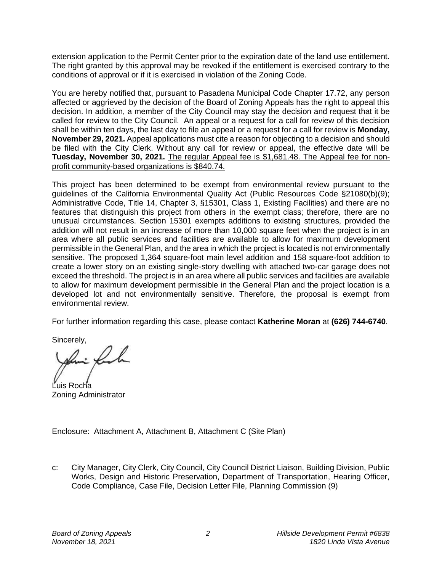extension application to the Permit Center prior to the expiration date of the land use entitlement. The right granted by this approval may be revoked if the entitlement is exercised contrary to the conditions of approval or if it is exercised in violation of the Zoning Code.

You are hereby notified that, pursuant to Pasadena Municipal Code Chapter 17.72, any person affected or aggrieved by the decision of the Board of Zoning Appeals has the right to appeal this decision. In addition, a member of the City Council may stay the decision and request that it be called for review to the City Council. An appeal or a request for a call for review of this decision shall be within ten days, the last day to file an appeal or a request for a call for review is **Monday, November 29, 2021.** Appeal applications must cite a reason for objecting to a decision and should be filed with the City Clerk. Without any call for review or appeal, the effective date will be **Tuesday, November 30, 2021.** The regular Appeal fee is \$1,681.48. The Appeal fee for nonprofit community-based organizations is \$840.74.

This project has been determined to be exempt from environmental review pursuant to the guidelines of the California Environmental Quality Act (Public Resources Code §21080(b)(9); Administrative Code, Title 14, Chapter 3, §15301, Class 1, Existing Facilities) and there are no features that distinguish this project from others in the exempt class; therefore, there are no unusual circumstances. Section 15301 exempts additions to existing structures, provided the addition will not result in an increase of more than 10,000 square feet when the project is in an area where all public services and facilities are available to allow for maximum development permissible in the General Plan, and the area in which the project is located is not environmentally sensitive. The proposed 1,364 square-foot main level addition and 158 square-foot addition to create a lower story on an existing single-story dwelling with attached two-car garage does not exceed the threshold. The project is in an area where all public services and facilities are available to allow for maximum development permissible in the General Plan and the project location is a developed lot and not environmentally sensitive. Therefore, the proposal is exempt from environmental review.

For further information regarding this case, please contact **Katherine Moran** at **(626) 744-6740**.

Sincerely,

. fil

Luis Rocha Zoning Administrator

Enclosure: Attachment A, Attachment B, Attachment C (Site Plan)

c: City Manager, City Clerk, City Council, City Council District Liaison, Building Division, Public Works, Design and Historic Preservation, Department of Transportation, Hearing Officer, Code Compliance, Case File, Decision Letter File, Planning Commission (9)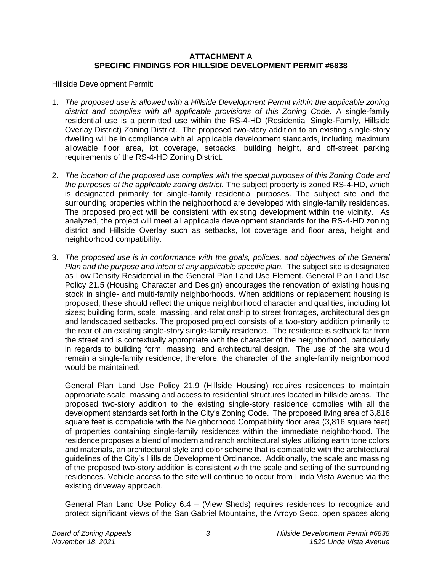## **ATTACHMENT A SPECIFIC FINDINGS FOR HILLSIDE DEVELOPMENT PERMIT #6838**

### Hillside Development Permit:

- 1. *The proposed use is allowed with a Hillside Development Permit within the applicable zoning district and complies with all applicable provisions of this Zoning Code.* A single-family residential use is a permitted use within the RS-4-HD (Residential Single-Family, Hillside Overlay District) Zoning District. The proposed two-story addition to an existing single-story dwelling will be in compliance with all applicable development standards, including maximum allowable floor area, lot coverage, setbacks, building height, and off-street parking requirements of the RS-4-HD Zoning District.
- 2. *The location of the proposed use complies with the special purposes of this Zoning Code and the purposes of the applicable zoning district.* The subject property is zoned RS-4-HD, which is designated primarily for single-family residential purposes. The subject site and the surrounding properties within the neighborhood are developed with single-family residences. The proposed project will be consistent with existing development within the vicinity. As analyzed, the project will meet all applicable development standards for the RS-4-HD zoning district and Hillside Overlay such as setbacks, lot coverage and floor area, height and neighborhood compatibility.
- 3. *The proposed use is in conformance with the goals, policies, and objectives of the General Plan and the purpose and intent of any applicable specific plan.* The subject site is designated as Low Density Residential in the General Plan Land Use Element. General Plan Land Use Policy 21.5 (Housing Character and Design) encourages the renovation of existing housing stock in single- and multi-family neighborhoods. When additions or replacement housing is proposed, these should reflect the unique neighborhood character and qualities, including lot sizes; building form, scale, massing, and relationship to street frontages, architectural design and landscaped setbacks. The proposed project consists of a two-story addition primarily to the rear of an existing single-story single-family residence. The residence is setback far from the street and is contextually appropriate with the character of the neighborhood, particularly in regards to building form, massing, and architectural design. The use of the site would remain a single-family residence; therefore, the character of the single-family neighborhood would be maintained.

General Plan Land Use Policy 21.9 (Hillside Housing) requires residences to maintain appropriate scale, massing and access to residential structures located in hillside areas. The proposed two-story addition to the existing single-story residence complies with all the development standards set forth in the City's Zoning Code. The proposed living area of 3,816 square feet is compatible with the Neighborhood Compatibility floor area (3,816 square feet) of properties containing single-family residences within the immediate neighborhood. The residence proposes a blend of modern and ranch architectural styles utilizing earth tone colors and materials, an architectural style and color scheme that is compatible with the architectural guidelines of the City's Hillside Development Ordinance. Additionally, the scale and massing of the proposed two-story addition is consistent with the scale and setting of the surrounding residences. Vehicle access to the site will continue to occur from Linda Vista Avenue via the existing driveway approach.

General Plan Land Use Policy 6.4 – (View Sheds) requires residences to recognize and protect significant views of the San Gabriel Mountains, the Arroyo Seco, open spaces along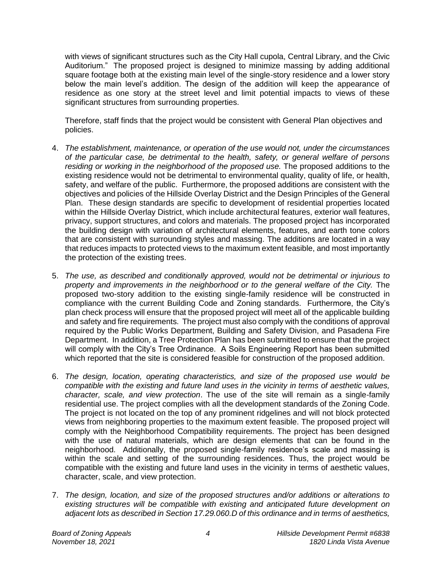with views of significant structures such as the City Hall cupola, Central Library, and the Civic Auditorium." The proposed project is designed to minimize massing by adding additional square footage both at the existing main level of the single-story residence and a lower story below the main level's addition. The design of the addition will keep the appearance of residence as one story at the street level and limit potential impacts to views of these significant structures from surrounding properties.

Therefore, staff finds that the project would be consistent with General Plan objectives and policies.

- 4. *The establishment, maintenance, or operation of the use would not, under the circumstances of the particular case, be detrimental to the health, safety, or general welfare of persons residing or working in the neighborhood of the proposed use.* The proposed additions to the existing residence would not be detrimental to environmental quality, quality of life, or health, safety, and welfare of the public. Furthermore, the proposed additions are consistent with the objectives and policies of the Hillside Overlay District and the Design Principles of the General Plan. These design standards are specific to development of residential properties located within the Hillside Overlay District, which include architectural features, exterior wall features, privacy, support structures, and colors and materials. The proposed project has incorporated the building design with variation of architectural elements, features, and earth tone colors that are consistent with surrounding styles and massing. The additions are located in a way that reduces impacts to protected views to the maximum extent feasible, and most importantly the protection of the existing trees.
- 5. *The use, as described and conditionally approved, would not be detrimental or injurious to property and improvements in the neighborhood or to the general welfare of the City.* The proposed two-story addition to the existing single-family residence will be constructed in compliance with the current Building Code and Zoning standards. Furthermore, the City's plan check process will ensure that the proposed project will meet all of the applicable building and safety and fire requirements. The project must also comply with the conditions of approval required by the Public Works Department, Building and Safety Division, and Pasadena Fire Department. In addition, a Tree Protection Plan has been submitted to ensure that the project will comply with the City's Tree Ordinance. A Soils Engineering Report has been submitted which reported that the site is considered feasible for construction of the proposed addition.
- 6. *The design, location, operating characteristics, and size of the proposed use would be compatible with the existing and future land uses in the vicinity in terms of aesthetic values, character, scale, and view protection*. The use of the site will remain as a single-family residential use. The project complies with all the development standards of the Zoning Code. The project is not located on the top of any prominent ridgelines and will not block protected views from neighboring properties to the maximum extent feasible. The proposed project will comply with the Neighborhood Compatibility requirements. The project has been designed with the use of natural materials, which are design elements that can be found in the neighborhood. Additionally, the proposed single-family residence's scale and massing is within the scale and setting of the surrounding residences. Thus, the project would be compatible with the existing and future land uses in the vicinity in terms of aesthetic values, character, scale, and view protection.
- 7. *The design, location, and size of the proposed structures and/or additions or alterations to existing structures will be compatible with existing and anticipated future development on adjacent lots as described in Section 17.29.060.D of this ordinance and in terms of aesthetics,*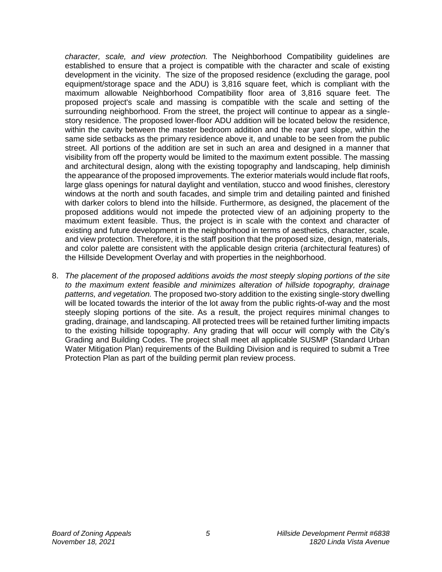*character, scale, and view protection.* The Neighborhood Compatibility guidelines are established to ensure that a project is compatible with the character and scale of existing development in the vicinity. The size of the proposed residence (excluding the garage, pool equipment/storage space and the ADU) is 3,816 square feet, which is compliant with the maximum allowable Neighborhood Compatibility floor area of 3,816 square feet. The proposed project's scale and massing is compatible with the scale and setting of the surrounding neighborhood. From the street, the project will continue to appear as a singlestory residence. The proposed lower-floor ADU addition will be located below the residence, within the cavity between the master bedroom addition and the rear yard slope, within the same side setbacks as the primary residence above it, and unable to be seen from the public street. All portions of the addition are set in such an area and designed in a manner that visibility from off the property would be limited to the maximum extent possible. The massing and architectural design, along with the existing topography and landscaping, help diminish the appearance of the proposed improvements. The exterior materials would include flat roofs, large glass openings for natural daylight and ventilation, stucco and wood finishes, clerestory windows at the north and south facades, and simple trim and detailing painted and finished with darker colors to blend into the hillside. Furthermore, as designed, the placement of the proposed additions would not impede the protected view of an adjoining property to the maximum extent feasible. Thus, the project is in scale with the context and character of existing and future development in the neighborhood in terms of aesthetics, character, scale, and view protection. Therefore, it is the staff position that the proposed size, design, materials, and color palette are consistent with the applicable design criteria (architectural features) of the Hillside Development Overlay and with properties in the neighborhood.

8. *The placement of the proposed additions avoids the most steeply sloping portions of the site to the maximum extent feasible and minimizes alteration of hillside topography, drainage patterns, and vegetation.* The proposed two-story addition to the existing single-story dwelling will be located towards the interior of the lot away from the public rights-of-way and the most steeply sloping portions of the site. As a result, the project requires minimal changes to grading, drainage, and landscaping. All protected trees will be retained further limiting impacts to the existing hillside topography. Any grading that will occur will comply with the City's Grading and Building Codes. The project shall meet all applicable SUSMP (Standard Urban Water Mitigation Plan) requirements of the Building Division and is required to submit a Tree Protection Plan as part of the building permit plan review process.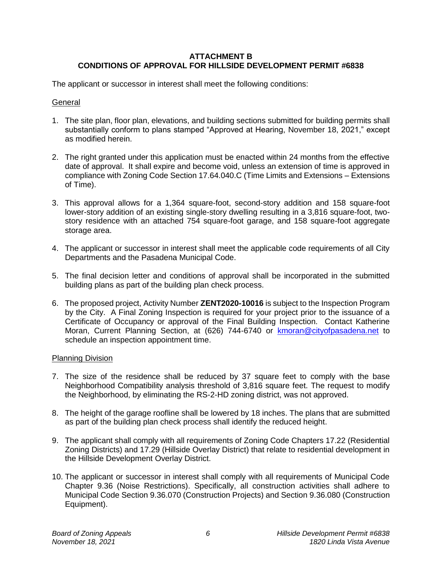# **ATTACHMENT B CONDITIONS OF APPROVAL FOR HILLSIDE DEVELOPMENT PERMIT #6838**

The applicant or successor in interest shall meet the following conditions:

## **General**

- 1. The site plan, floor plan, elevations, and building sections submitted for building permits shall substantially conform to plans stamped "Approved at Hearing, November 18, 2021," except as modified herein.
- 2. The right granted under this application must be enacted within 24 months from the effective date of approval. It shall expire and become void, unless an extension of time is approved in compliance with Zoning Code Section 17.64.040.C (Time Limits and Extensions – Extensions of Time).
- 3. This approval allows for a 1,364 square-foot, second-story addition and 158 square-foot lower-story addition of an existing single-story dwelling resulting in a 3,816 square-foot, twostory residence with an attached 754 square-foot garage, and 158 square-foot aggregate storage area.
- 4. The applicant or successor in interest shall meet the applicable code requirements of all City Departments and the Pasadena Municipal Code.
- 5. The final decision letter and conditions of approval shall be incorporated in the submitted building plans as part of the building plan check process.
- 6. The proposed project, Activity Number **ZENT2020-10016** is subject to the Inspection Program by the City. A Final Zoning Inspection is required for your project prior to the issuance of a Certificate of Occupancy or approval of the Final Building Inspection. Contact Katherine Moran, Current Planning Section, at (626) 744-6740 or [kmoran@cityofpasadena.net](mailto:kmoran@cityofpasadena.net) to schedule an inspection appointment time.

## Planning Division

- 7. The size of the residence shall be reduced by 37 square feet to comply with the base Neighborhood Compatibility analysis threshold of 3,816 square feet. The request to modify the Neighborhood, by eliminating the RS-2-HD zoning district, was not approved.
- 8. The height of the garage roofline shall be lowered by 18 inches. The plans that are submitted as part of the building plan check process shall identify the reduced height.
- 9. The applicant shall comply with all requirements of Zoning Code Chapters 17.22 (Residential Zoning Districts) and 17.29 (Hillside Overlay District) that relate to residential development in the Hillside Development Overlay District.
- 10. The applicant or successor in interest shall comply with all requirements of Municipal Code Chapter 9.36 (Noise Restrictions). Specifically, all construction activities shall adhere to Municipal Code Section 9.36.070 (Construction Projects) and Section 9.36.080 (Construction Equipment).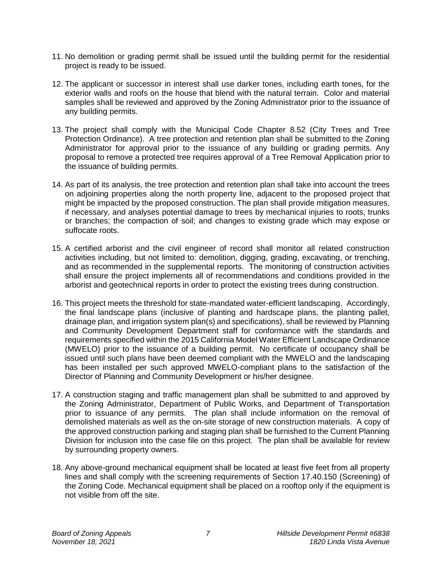- 11. No demolition or grading permit shall be issued until the building permit for the residential project is ready to be issued.
- 12. The applicant or successor in interest shall use darker tones, including earth tones, for the exterior walls and roofs on the house that blend with the natural terrain. Color and material samples shall be reviewed and approved by the Zoning Administrator prior to the issuance of any building permits.
- 13. The project shall comply with the Municipal Code Chapter 8.52 (City Trees and Tree Protection Ordinance). A tree protection and retention plan shall be submitted to the Zoning Administrator for approval prior to the issuance of any building or grading permits. Any proposal to remove a protected tree requires approval of a Tree Removal Application prior to the issuance of building permits.
- 14. As part of its analysis, the tree protection and retention plan shall take into account the trees on adjoining properties along the north property line, adjacent to the proposed project that might be impacted by the proposed construction. The plan shall provide mitigation measures, if necessary, and analyses potential damage to trees by mechanical injuries to roots, trunks or branches; the compaction of soil; and changes to existing grade which may expose or suffocate roots.
- 15. A certified arborist and the civil engineer of record shall monitor all related construction activities including, but not limited to: demolition, digging, grading, excavating, or trenching, and as recommended in the supplemental reports. The monitoring of construction activities shall ensure the project implements all of recommendations and conditions provided in the arborist and geotechnical reports in order to protect the existing trees during construction.
- 16. This project meets the threshold for state-mandated water-efficient landscaping. Accordingly, the final landscape plans (inclusive of planting and hardscape plans, the planting pallet, drainage plan, and irrigation system plan(s) and specifications), shall be reviewed by Planning and Community Development Department staff for conformance with the standards and requirements specified within the 2015 California Model Water Efficient Landscape Ordinance (MWELO) prior to the issuance of a building permit. No certificate of occupancy shall be issued until such plans have been deemed compliant with the MWELO and the landscaping has been installed per such approved MWELO-compliant plans to the satisfaction of the Director of Planning and Community Development or his/her designee.
- 17. A construction staging and traffic management plan shall be submitted to and approved by the Zoning Administrator, Department of Public Works, and Department of Transportation prior to issuance of any permits. The plan shall include information on the removal of demolished materials as well as the on-site storage of new construction materials. A copy of the approved construction parking and staging plan shall be furnished to the Current Planning Division for inclusion into the case file on this project. The plan shall be available for review by surrounding property owners.
- 18. Any above-ground mechanical equipment shall be located at least five feet from all property lines and shall comply with the screening requirements of Section 17.40.150 (Screening) of the Zoning Code. Mechanical equipment shall be placed on a rooftop only if the equipment is not visible from off the site.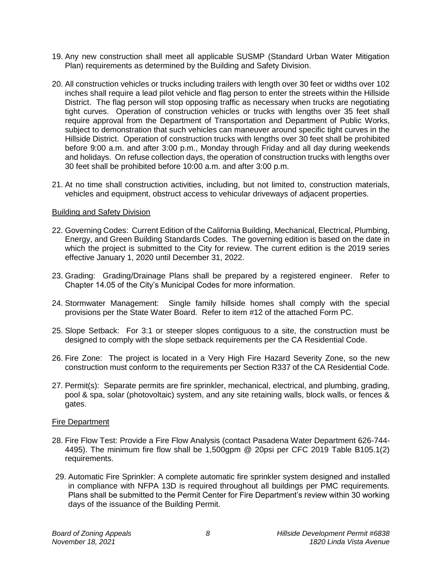- 19. Any new construction shall meet all applicable SUSMP (Standard Urban Water Mitigation Plan) requirements as determined by the Building and Safety Division.
- 20. All construction vehicles or trucks including trailers with length over 30 feet or widths over 102 inches shall require a lead pilot vehicle and flag person to enter the streets within the Hillside District. The flag person will stop opposing traffic as necessary when trucks are negotiating tight curves. Operation of construction vehicles or trucks with lengths over 35 feet shall require approval from the Department of Transportation and Department of Public Works, subject to demonstration that such vehicles can maneuver around specific tight curves in the Hillside District. Operation of construction trucks with lengths over 30 feet shall be prohibited before 9:00 a.m. and after 3:00 p.m., Monday through Friday and all day during weekends and holidays. On refuse collection days, the operation of construction trucks with lengths over 30 feet shall be prohibited before 10:00 a.m. and after 3:00 p.m.
- 21. At no time shall construction activities, including, but not limited to, construction materials, vehicles and equipment, obstruct access to vehicular driveways of adjacent properties.

#### Building and Safety Division

- 22. Governing Codes: Current Edition of the California Building, Mechanical, Electrical, Plumbing, Energy, and Green Building Standards Codes. The governing edition is based on the date in which the project is submitted to the City for review. The current edition is the 2019 series effective January 1, 2020 until December 31, 2022.
- 23. Grading: Grading/Drainage Plans shall be prepared by a registered engineer. Refer to Chapter 14.05 of the City's Municipal Codes for more information.
- 24. Stormwater Management: Single family hillside homes shall comply with the special provisions per the State Water Board. Refer to item #12 of the attached Form PC.
- 25. Slope Setback: For 3:1 or steeper slopes contiguous to a site, the construction must be designed to comply with the slope setback requirements per the CA Residential Code.
- 26. Fire Zone: The project is located in a Very High Fire Hazard Severity Zone, so the new construction must conform to the requirements per Section R337 of the CA Residential Code.
- 27. Permit(s): Separate permits are fire sprinkler, mechanical, electrical, and plumbing, grading, pool & spa, solar (photovoltaic) system, and any site retaining walls, block walls, or fences & gates.

#### Fire Department

- 28. Fire Flow Test: Provide a Fire Flow Analysis (contact Pasadena Water Department 626-744- 4495). The minimum fire flow shall be 1,500gpm @ 20psi per CFC 2019 Table B105.1(2) requirements.
- 29. Automatic Fire Sprinkler: A complete automatic fire sprinkler system designed and installed in compliance with NFPA 13D is required throughout all buildings per PMC requirements. Plans shall be submitted to the Permit Center for Fire Department's review within 30 working days of the issuance of the Building Permit.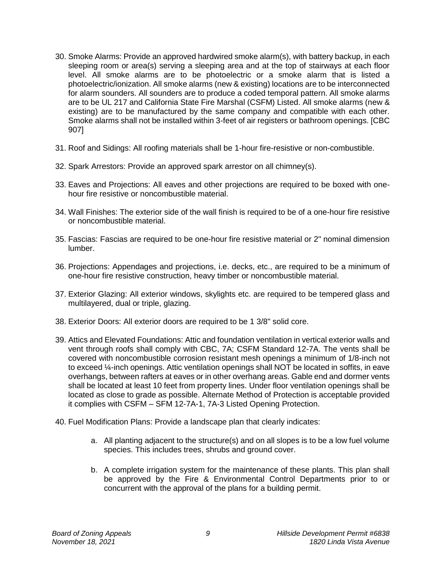- 30. Smoke Alarms: Provide an approved hardwired smoke alarm(s), with battery backup, in each sleeping room or area(s) serving a sleeping area and at the top of stairways at each floor level. All smoke alarms are to be photoelectric or a smoke alarm that is listed a photoelectric/ionization. All smoke alarms (new & existing) locations are to be interconnected for alarm sounders. All sounders are to produce a coded temporal pattern. All smoke alarms are to be UL 217 and California State Fire Marshal (CSFM) Listed. All smoke alarms (new & existing) are to be manufactured by the same company and compatible with each other. Smoke alarms shall not be installed within 3-feet of air registers or bathroom openings. [CBC 907]
- 31. Roof and Sidings: All roofing materials shall be 1-hour fire-resistive or non-combustible.
- 32. Spark Arrestors: Provide an approved spark arrestor on all chimney(s).
- 33. Eaves and Projections: All eaves and other projections are required to be boxed with onehour fire resistive or noncombustible material.
- 34. Wall Finishes: The exterior side of the wall finish is required to be of a one-hour fire resistive or noncombustible material.
- 35. Fascias: Fascias are required to be one-hour fire resistive material or 2" nominal dimension lumber.
- 36. Projections: Appendages and projections, i.e. decks, etc., are required to be a minimum of one-hour fire resistive construction, heavy timber or noncombustible material.
- 37. Exterior Glazing: All exterior windows, skylights etc. are required to be tempered glass and multilayered, dual or triple, glazing.
- 38. Exterior Doors: All exterior doors are required to be 1 3/8" solid core.
- 39. Attics and Elevated Foundations: Attic and foundation ventilation in vertical exterior walls and vent through roofs shall comply with CBC, 7A; CSFM Standard 12-7A. The vents shall be covered with noncombustible corrosion resistant mesh openings a minimum of 1/8-inch not to exceed ¼-inch openings. Attic ventilation openings shall NOT be located in soffits, in eave overhangs, between rafters at eaves or in other overhang areas. Gable end and dormer vents shall be located at least 10 feet from property lines. Under floor ventilation openings shall be located as close to grade as possible. Alternate Method of Protection is acceptable provided it complies with CSFM – SFM 12-7A-1, 7A-3 Listed Opening Protection.
- 40. Fuel Modification Plans: Provide a landscape plan that clearly indicates:
	- a. All planting adjacent to the structure(s) and on all slopes is to be a low fuel volume species. This includes trees, shrubs and ground cover.
	- b. A complete irrigation system for the maintenance of these plants. This plan shall be approved by the Fire & Environmental Control Departments prior to or concurrent with the approval of the plans for a building permit.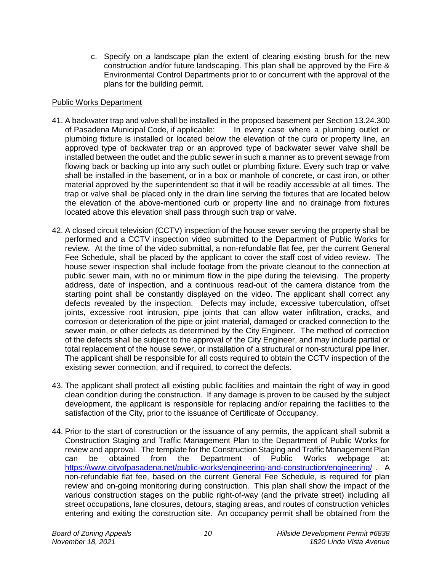c. Specify on a landscape plan the extent of clearing existing brush for the new construction and/or future landscaping. This plan shall be approved by the Fire & Environmental Control Departments prior to or concurrent with the approval of the plans for the building permit.

## Public Works Department

- 41. A backwater trap and valve shall be installed in the proposed basement per Section 13.24.300 of Pasadena Municipal Code, if applicable: In every case where a plumbing outlet or plumbing fixture is installed or located below the elevation of the curb or property line, an approved type of backwater trap or an approved type of backwater sewer valve shall be installed between the outlet and the public sewer in such a manner as to prevent sewage from flowing back or backing up into any such outlet or plumbing fixture. Every such trap or valve shall be installed in the basement, or in a box or manhole of concrete, or cast iron, or other material approved by the superintendent so that it will be readily accessible at all times. The trap or valve shall be placed only in the drain line serving the fixtures that are located below the elevation of the above-mentioned curb or property line and no drainage from fixtures located above this elevation shall pass through such trap or valve.
- 42. A closed circuit television (CCTV) inspection of the house sewer serving the property shall be performed and a CCTV inspection video submitted to the Department of Public Works for review. At the time of the video submittal, a non-refundable flat fee, per the current General Fee Schedule, shall be placed by the applicant to cover the staff cost of video review. The house sewer inspection shall include footage from the private cleanout to the connection at public sewer main, with no or minimum flow in the pipe during the televising. The property address, date of inspection, and a continuous read-out of the camera distance from the starting point shall be constantly displayed on the video. The applicant shall correct any defects revealed by the inspection. Defects may include, excessive tuberculation, offset joints, excessive root intrusion, pipe joints that can allow water infiltration, cracks, and corrosion or deterioration of the pipe or joint material, damaged or cracked connection to the sewer main, or other defects as determined by the City Engineer. The method of correction of the defects shall be subject to the approval of the City Engineer, and may include partial or total replacement of the house sewer, or installation of a structural or non-structural pipe liner. The applicant shall be responsible for all costs required to obtain the CCTV inspection of the existing sewer connection, and if required, to correct the defects.
- 43. The applicant shall protect all existing public facilities and maintain the right of way in good clean condition during the construction. If any damage is proven to be caused by the subject development, the applicant is responsible for replacing and/or repairing the facilities to the satisfaction of the City, prior to the issuance of Certificate of Occupancy.
- 44. Prior to the start of construction or the issuance of any permits, the applicant shall submit a Construction Staging and Traffic Management Plan to the Department of Public Works for review and approval. The template for the Construction Staging and Traffic Management Plan can be obtained from the Department of Public Works webpage at: <https://www.cityofpasadena.net/public-works/engineering-and-construction/engineering/> . A non-refundable flat fee, based on the current General Fee Schedule, is required for plan review and on-going monitoring during construction. This plan shall show the impact of the various construction stages on the public right-of-way (and the private street) including all street occupations, lane closures, detours, staging areas, and routes of construction vehicles entering and exiting the construction site. An occupancy permit shall be obtained from the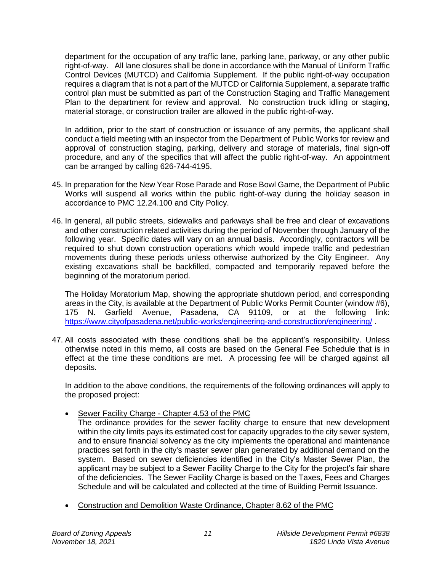department for the occupation of any traffic lane, parking lane, parkway, or any other public right-of-way. All lane closures shall be done in accordance with the Manual of Uniform Traffic Control Devices (MUTCD) and California Supplement. If the public right-of-way occupation requires a diagram that is not a part of the MUTCD or California Supplement, a separate traffic control plan must be submitted as part of the Construction Staging and Traffic Management Plan to the department for review and approval. No construction truck idling or staging, material storage, or construction trailer are allowed in the public right-of-way.

In addition, prior to the start of construction or issuance of any permits, the applicant shall conduct a field meeting with an inspector from the Department of Public Works for review and approval of construction staging, parking, delivery and storage of materials, final sign-off procedure, and any of the specifics that will affect the public right-of-way. An appointment can be arranged by calling 626-744-4195.

- 45. In preparation for the New Year Rose Parade and Rose Bowl Game, the Department of Public Works will suspend all works within the public right-of-way during the holiday season in accordance to PMC 12.24.100 and City Policy.
- 46. In general, all public streets, sidewalks and parkways shall be free and clear of excavations and other construction related activities during the period of November through January of the following year. Specific dates will vary on an annual basis. Accordingly, contractors will be required to shut down construction operations which would impede traffic and pedestrian movements during these periods unless otherwise authorized by the City Engineer. Any existing excavations shall be backfilled, compacted and temporarily repaved before the beginning of the moratorium period.

The Holiday Moratorium Map, showing the appropriate shutdown period, and corresponding areas in the City, is available at the Department of Public Works Permit Counter (window #6), 175 N. Garfield Avenue, Pasadena, CA 91109, or at the following link: <https://www.cityofpasadena.net/public-works/engineering-and-construction/engineering/> .

47. All costs associated with these conditions shall be the applicant's responsibility. Unless otherwise noted in this memo, all costs are based on the General Fee Schedule that is in effect at the time these conditions are met. A processing fee will be charged against all deposits.

In addition to the above conditions, the requirements of the following ordinances will apply to the proposed project:

Sewer Facility Charge - Chapter 4.53 of the PMC

The ordinance provides for the sewer facility charge to ensure that new development within the city limits pays its estimated cost for capacity upgrades to the city sewer system, and to ensure financial solvency as the city implements the operational and maintenance practices set forth in the city's master sewer plan generated by additional demand on the system. Based on sewer deficiencies identified in the City's Master Sewer Plan, the applicant may be subject to a Sewer Facility Charge to the City for the project's fair share of the deficiencies. The Sewer Facility Charge is based on the Taxes, Fees and Charges Schedule and will be calculated and collected at the time of Building Permit Issuance.

Construction and Demolition Waste Ordinance, Chapter 8.62 of the PMC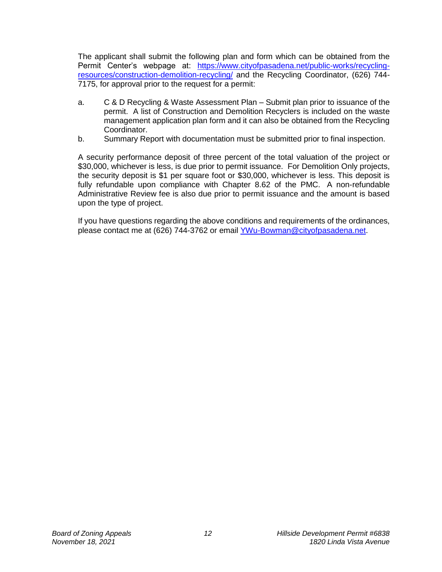The applicant shall submit the following plan and form which can be obtained from the Permit Center's webpage at: [https://www.cityofpasadena.net/public-works/recycling](https://www.cityofpasadena.net/public-works/recycling-resources/construction-demolition-recycling/)[resources/construction-demolition-recycling/](https://www.cityofpasadena.net/public-works/recycling-resources/construction-demolition-recycling/) and the Recycling Coordinator, (626) 744- 7175, for approval prior to the request for a permit:

- a. C & D Recycling & Waste Assessment Plan Submit plan prior to issuance of the permit. A list of Construction and Demolition Recyclers is included on the waste management application plan form and it can also be obtained from the Recycling Coordinator.
- b. Summary Report with documentation must be submitted prior to final inspection.

A security performance deposit of three percent of the total valuation of the project or \$30,000, whichever is less, is due prior to permit issuance. For Demolition Only projects, the security deposit is \$1 per square foot or \$30,000, whichever is less. This deposit is fully refundable upon compliance with Chapter 8.62 of the PMC. A non-refundable Administrative Review fee is also due prior to permit issuance and the amount is based upon the type of project.

If you have questions regarding the above conditions and requirements of the ordinances, please contact me at (626) 744-3762 or email [YWu-Bowman@cityofpasadena.net.](mailto:YWu-Bowman@cityofpasadena.net)